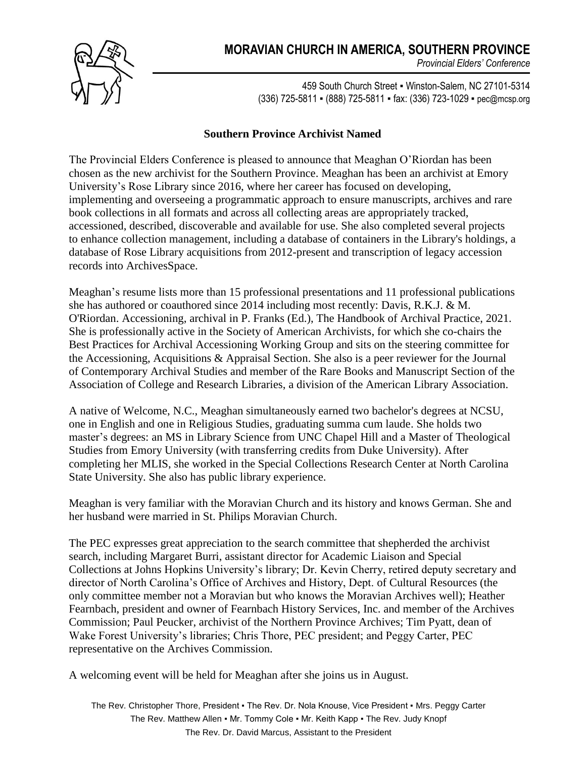## **MORAVIAN CHURCH IN AMERICA, SOUTHERN PROVINCE**



*Provincial Elders' Conference*

459 South Church Street . Winston-Salem, NC 27101-5314 (336) 725-5811 ▪ (888) 725-5811 ▪ fax: (336) 723-1029 ▪ pec@mcsp.org

## **Southern Province Archivist Named**

The Provincial Elders Conference is pleased to announce that Meaghan O'Riordan has been chosen as the new archivist for the Southern Province. Meaghan has been an archivist at Emory University's Rose Library since 2016, where her career has focused on developing, implementing and overseeing a programmatic approach to ensure manuscripts, archives and rare book collections in all formats and across all collecting areas are appropriately tracked, accessioned, described, discoverable and available for use. She also completed several projects to enhance collection management, including a database of containers in the Library's holdings, a database of Rose Library acquisitions from 2012-present and transcription of legacy accession records into ArchivesSpace.

Meaghan's resume lists more than 15 professional presentations and 11 professional publications she has authored or coauthored since 2014 including most recently: Davis, R.K.J. & M. O'Riordan. Accessioning, archival in P. Franks (Ed.), The Handbook of Archival Practice, 2021. She is professionally active in the Society of American Archivists, for which she co-chairs the Best Practices for Archival Accessioning Working Group and sits on the steering committee for the Accessioning, Acquisitions & Appraisal Section. She also is a peer reviewer for the Journal of Contemporary Archival Studies and member of the Rare Books and Manuscript Section of the Association of College and Research Libraries, a division of the American Library Association.

A native of Welcome, N.C., Meaghan simultaneously earned two bachelor's degrees at NCSU, one in English and one in Religious Studies, graduating summa cum laude. She holds two master's degrees: an MS in Library Science from UNC Chapel Hill and a Master of Theological Studies from Emory University (with transferring credits from Duke University). After completing her MLIS, she worked in the Special Collections Research Center at North Carolina State University. She also has public library experience.

Meaghan is very familiar with the Moravian Church and its history and knows German. She and her husband were married in St. Philips Moravian Church.

The PEC expresses great appreciation to the search committee that shepherded the archivist search, including Margaret Burri, assistant director for Academic Liaison and Special Collections at Johns Hopkins University's library; Dr. Kevin Cherry, retired deputy secretary and director of North Carolina's Office of Archives and History, Dept. of Cultural Resources (the only committee member not a Moravian but who knows the Moravian Archives well); Heather Fearnbach, president and owner of Fearnbach History Services, Inc. and member of the Archives Commission; Paul Peucker, archivist of the Northern Province Archives; Tim Pyatt, dean of Wake Forest University's libraries; Chris Thore, PEC president; and Peggy Carter, PEC representative on the Archives Commission.

A welcoming event will be held for Meaghan after she joins us in August.

The Rev. Christopher Thore, President · The Rev. Dr. Nola Knouse, Vice President · Mrs. Peggy Carter The Rev. Matthew Allen • Mr. Tommy Cole • Mr. Keith Kapp • The Rev. Judy Knopf The Rev. Dr. David Marcus, Assistant to the President